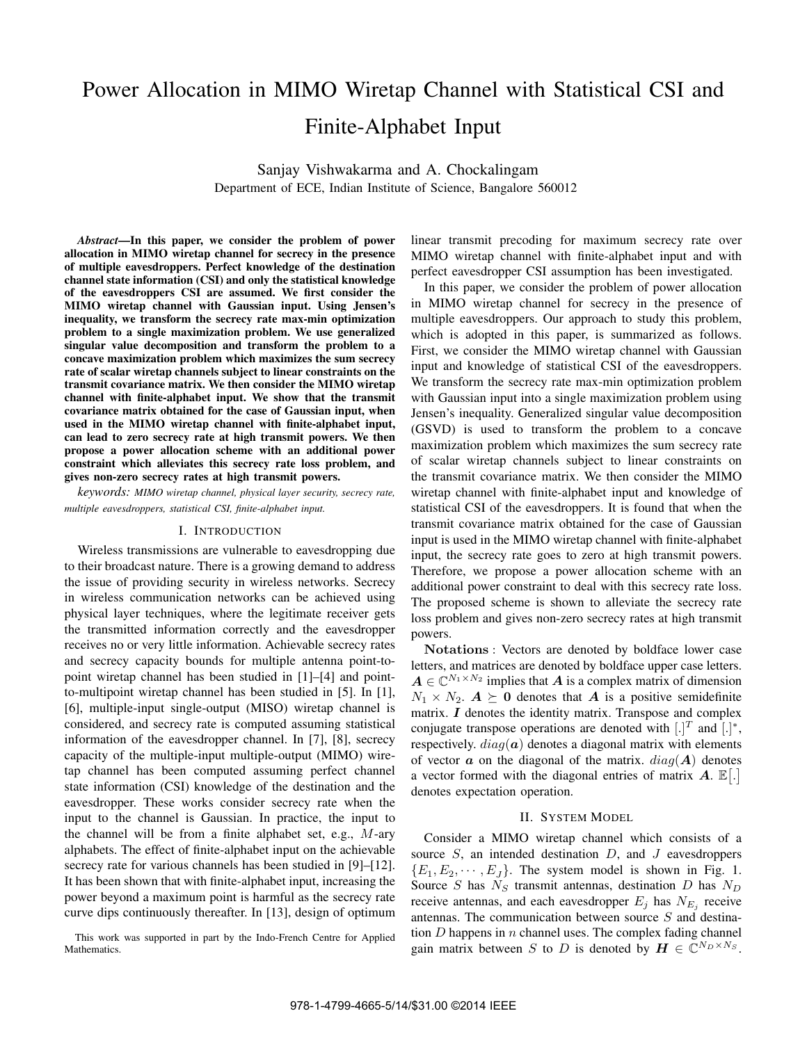# Power Allocation in MIMO Wiretap Channel with Statistical CSI and Finite-Alphabet Input

Sanjay Vishwakarma and A. Chockalingam Department of ECE, Indian Institute of Science, Bangalore 560012

*Abstract***—In this paper, we consider the problem of power allocation in MIMO wiretap channel for secrecy in the presence of multiple eavesdroppers. Perfect knowledge of the destination channel state information (CSI) and only the statistical knowledge of the eavesdroppers CSI are assumed. We first consider the MIMO wiretap channel with Gaussian input. Using Jensen's inequality, we transform the secrecy rate max-min optimization problem to a single maximization problem. We use generalized singular value decomposition and transform the problem to a concave maximization problem which maximizes the sum secrecy rate of scalar wiretap channels subject to linear constraints on the transmit covariance matrix. We then consider the MIMO wiretap channel with finite-alphabet input. We show that the transmit covariance matrix obtained for the case of Gaussian input, when** used in the MIMO wiretap channel with finite-alphabet input, **can lead to zero secrecy rate at high transmit powers. We then propose a power allocation scheme with an additional power constraint which alleviates this secrecy rate loss problem, and gives non-zero secrecy rates at high transmit powers.**

*keywords: MIMO wiretap channel, physical layer security, secrecy rate, multiple eavesdroppers, statistical CSI, finite-alphabet input.*

#### I. INTRODUCTION

Wireless transmissions are vulnerable to eavesdropping due to their broadcast nature. There is a growing demand to address the issue of providing security in wireless networks. Secrecy in wireless communication networks can be achieved using physical layer techniques, where the legitimate receiver gets the transmitted information correctly and the eavesdropper receives no or very little information. Achievable secrecy rates and secrecy capacity bounds for multiple antenna point-topoint wiretap channel has been studied in [1]–[4] and pointto-multipoint wiretap channel has been studied in [5]. In [1], [6], multiple-input single-output (MISO) wiretap channel is considered, and secrecy rate is computed assuming statistical information of the eavesdropper channel. In [7], [8], secrecy capacity of the multiple-input multiple-output (MIMO) wiretap channel has been computed assuming perfect channel state information (CSI) knowledge of the destination and the eavesdropper. These works consider secrecy rate when the input to the channel is Gaussian. In practice, the input to the channel will be from a finite alphabet set, e.g.,  $M$ -ary alphabets. The effect of finite-alphabet input on the achievable secrecy rate for various channels has been studied in [9]–[12]. It has been shown that with finite-alphabet input, increasing the power beyond a maximum point is harmful as the secrecy rate curve dips continuously thereafter. In [13], design of optimum

This work was supported in part by the Indo-French Centre for Applied Mathematics.

linear transmit precoding for maximum secrecy rate over MIMO wiretap channel with finite-alphabet input and with perfect eavesdropper CSI assumption has been investigated.

In this paper, we consider the problem of power allocation in MIMO wiretap channel for secrecy in the presence of multiple eavesdroppers. Our approach to study this problem, which is adopted in this paper, is summarized as follows. First, we consider the MIMO wiretap channel with Gaussian input and knowledge of statistical CSI of the eavesdroppers. We transform the secrecy rate max-min optimization problem with Gaussian input into a single maximization problem using Jensen's inequality. Generalized singular value decomposition (GSVD) is used to transform the problem to a concave maximization problem which maximizes the sum secrecy rate of scalar wiretap channels subject to linear constraints on the transmit covariance matrix. We then consider the MIMO wiretap channel with finite-alphabet input and knowledge of statistical CSI of the eavesdroppers. It is found that when the transmit covariance matrix obtained for the case of Gaussian input is used in the MIMO wiretap channel with finite-alphabet input, the secrecy rate goes to zero at high transmit powers. Therefore, we propose a power allocation scheme with an additional power constraint to deal with this secrecy rate loss. The proposed scheme is shown to alleviate the secrecy rate loss problem and gives non-zero secrecy rates at high transmit powers.

Notations : Vectors are denoted by boldface lower case letters, and matrices are denoted by boldface upper case letters.  $A \in \mathbb{C}^{N_1 \times N_2}$  implies that A is a complex matrix of dimension  $N_1 \times N_2$ .  $A \succeq 0$  denotes that A is a positive semidefinite matrix.  $I$  denotes the identity matrix. Transpose and complex conjugate transpose operations are denoted with  $[.]^T$  and  $[.]^*$ , respectively.  $diag(a)$  denotes a diagonal matrix with elements of vector  $\boldsymbol{a}$  on the diagonal of the matrix.  $diag(\boldsymbol{A})$  denotes a vector formed with the diagonal entries of matrix  $\bm{A}$ .  $\mathbb{E}[\cdot]$ denotes expectation operation.

#### II. SYSTEM MODEL

Consider a MIMO wiretap channel which consists of a source  $S$ , an intended destination  $D$ , and  $J$  eavesdroppers  ${E_1, E_2, \cdots, E_I}$ . The system model is shown in Fig. 1. Source *S* has  $N_S$  transmit antennas, destination *D* has  $N_D$ receive antennas, and each eavesdropper  $E_i$  has  $N_{E_i}$  receive antennas. The communication between source  $S$  and destination  $D$  happens in  $n$  channel uses. The complex fading channel gain matrix between S to D is denoted by  $\mathbf{H} \in \mathbb{C}^{N_D \times N_S}$ .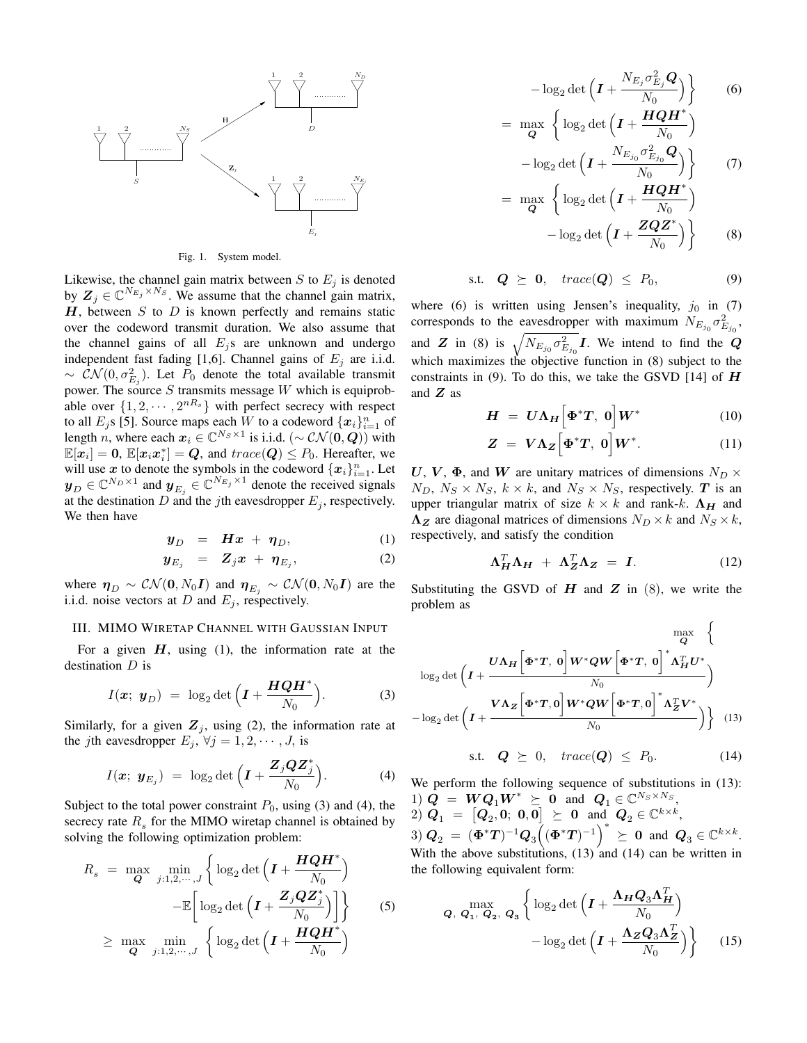

Fig. 1. System model.

Likewise, the channel gain matrix between  $S$  to  $E_j$  is denoted by  $Z_j \in \mathbb{C}^{N_{E_j} \times N_S}$ . We assume that the channel gain matrix,  $H$ , between  $S$  to  $D$  is known perfectly and remains static over the codeword transmit duration. We also assume that the channel gains of all  $E_j$ s are unknown and undergo independent fast fading [1,6]. Channel gains of  $E_j$  are i.i.d.  $\sim \mathcal{CN}(0, \sigma_{E_j}^2)$ . Let  $P_0$  denote the total available transmit power. The source  $S$  transmits message  $W$  which is equiprobable over  $\{1, 2, \cdots, 2^{nR_s}\}\$  with perfect secrecy with respect to all  $E_j$ s [5]. Source maps each  $W$  to a codeword  $\{x_i\}_{i=1}^n$  of length n, where each  $x_i \in \mathbb{C}^{N_S \times 1}$  is i.i.d. (~  $\mathcal{CN}(\mathbf{0}, \mathbf{Q})$ ) with  $\mathbb{E}[\boldsymbol{x}_i] = \boldsymbol{0}, \, \mathbb{E}[\boldsymbol{x}_i \boldsymbol{x}_i^*] = \boldsymbol{Q},$  and  $trace(\boldsymbol{Q}) \leq P_0$ . Hereafter, we will use x to denote the symbols in the codeword  ${x_i}_{i=1}^n$ . Let  $\mathbf{y}_D \in \mathbb{C}^{N_D \times 1}$  and  $\mathbf{y}_{E_j} \in \mathbb{C}^{N_{E_j} \times 1}$  denote the received signals at the destination  $D$  and the *j*th eavesdropper  $E_i$ , respectively. We then have

$$
\boldsymbol{y}_D = \boldsymbol{H}\boldsymbol{x} + \boldsymbol{\eta}_D, \tag{1}
$$

$$
\boldsymbol{y}_{E_j} = \boldsymbol{Z}_j \boldsymbol{x} + \boldsymbol{\eta}_{E_j}, \qquad (2)
$$

where  $\eta_D \sim \mathcal{CN}(\mathbf{0}, N_0 \mathbf{I})$  and  $\eta_{E_i} \sim \mathcal{CN}(\mathbf{0}, N_0 \mathbf{I})$  are the i.i.d. noise vectors at  $D$  and  $E_j$ , respectively.

#### III. MIMO WIRETAP CHANNEL WITH GAUSSIAN INPUT

For a given  $H$ , using (1), the information rate at the destination  $D$  is

$$
I(\boldsymbol{x}; \ \boldsymbol{y}_D) \ = \ \log_2 \det \left( \boldsymbol{I} + \frac{\boldsymbol{H}\boldsymbol{Q}\boldsymbol{H}^*}{N_0} \right). \tag{3}
$$

Similarly, for a given  $Z_j$ , using (2), the information rate at the *j*th eavesdropper  $E_j$ ,  $\forall j = 1, 2, \dots, J$ , is

$$
I(\boldsymbol{x}; \ \boldsymbol{y}_{E_j}) = \log_2 \det \left( \boldsymbol{I} + \frac{\boldsymbol{Z}_j \boldsymbol{Q} \boldsymbol{Z}_j^*}{N_0} \right). \tag{4}
$$

Subject to the total power constraint  $P_0$ , using (3) and (4), the secrecy rate  $R_s$  for the MIMO wiretap channel is obtained by solving the following optimization problem:

$$
R_s = \max_{\mathbf{Q}} \min_{j:1,2,\cdots,J} \left\{ \log_2 \det \left( \mathbf{I} + \frac{\mathbf{HQH}^*}{N_0} \right) - \mathbb{E} \left[ \log_2 \det \left( \mathbf{I} + \frac{\mathbf{Z}_j \mathbf{QZ}_j^*}{N_0} \right) \right] \right\} \qquad (5)
$$
  

$$
\geq \max_{\mathbf{Q}} \min_{j:1,2,\cdots,J} \left\{ \log_2 \det \left( \mathbf{I} + \frac{\mathbf{HQH}^*}{N_0} \right) \right\}
$$

$$
-\log_2 \det \left( \mathbf{I} + \frac{N_{E_j} \sigma_{E_j}^2 \mathbf{Q}}{N_0} \right) \right\} \qquad (6)
$$
  
= 
$$
\max_{\mathbf{Q}} \left\{ \log_2 \det \left( \mathbf{I} + \frac{\mathbf{H} \mathbf{Q} \mathbf{H}^*}{N_0} \right) - \log_2 \det \left( \mathbf{I} + \frac{N_{E_{j_0}} \sigma_{E_{j_0}}^2 \mathbf{Q}}{N_0} \right) \right\} \qquad (7)
$$

$$
= \max_{\mathbf{Q}} \left\{ \log_2 \det \left( \mathbf{I} + \frac{\mathbf{HQH}^*}{N_0} \right) - \log_2 \det \left( \mathbf{I} + \frac{\mathbf{ZQZ}^*}{N_0} \right) \right\}
$$
(8)

$$
\text{s.t.} \quad \mathbf{Q} \ \succeq \ \mathbf{0}, \quad \text{trace}(\mathbf{Q}) \ \leq \ P_0, \tag{9}
$$

where (6) is written using Jensen's inequality,  $j_0$  in (7) corresponds to the eavesdropper with maximum  $N_{E_{j_0}} \sigma_{E_{j_0}}^2$ , and Z in (8) is  $\sqrt{N_{E_{j_0}}\sigma_{E_{j_0}}^2}I$ . We intend to find the Q which maximizes the objective function in (8) subject to the constraints in (9). To do this, we take the GSVD [14] of  $H$ and  $Z$  as

$$
H = U\Lambda_H \Big[ \Phi^* T, \ 0 \Big] W^* \tag{10}
$$

$$
Z = V\Lambda_Z \Big[ \Phi^* T, \ 0 \Big] W^*.
$$
 (11)

U, V,  $\Phi$ , and W are unitary matrices of dimensions  $N_D \times$  $N_D$ ,  $N_S \times N_S$ ,  $k \times k$ , and  $N_S \times N_S$ , respectively. T is an upper triangular matrix of size  $k \times k$  and rank-k.  $\Lambda_H$  and  $\Lambda_Z$  are diagonal matrices of dimensions  $N_D \times k$  and  $N_S \times k$ , respectively, and satisfy the condition

$$
\Lambda_H^T \Lambda_H + \Lambda_Z^T \Lambda_Z = I. \tag{12}
$$

Substituting the GSVD of  $H$  and  $Z$  in (8), we write the problem as

$$
\log_2 \det \left( I + \frac{U \Lambda_H \left[ \Phi^* T, 0 \right] W^* Q W \left[ \Phi^* T, 0 \right]^* \Lambda_H^T U^*}{N_0} \right) - \log_2 \det \left( I + \frac{V \Lambda_Z \left[ \Phi^* T, 0 \right] W^* Q W \left[ \Phi^* T, 0 \right]^* \Lambda_Z^T V^*}{N_0} \right) \right) \tag{13}
$$

$$
\text{s.t.} \quad \mathbf{Q} \ \succeq \ 0, \quad trace(\mathbf{Q}) \ \leq \ P_0. \tag{14}
$$

We perform the following sequence of substitutions in (13): 1)  $\mathbf{Q} = \mathbf{W} \mathbf{Q}_1 \mathbf{W}^* \succeq \mathbf{0}$  and  $\mathbf{Q}_1 \in \mathbb{C}^{N_S \times N_S}$  $\left[ \begin{matrix} \boldsymbol{Q}_1 \end{matrix} \right] = \left[ \begin{matrix} \boldsymbol{Q}_2, \boldsymbol{0}; \; \boldsymbol{0}, \boldsymbol{0} \end{matrix} \right] \succeq \; \boldsymbol{0} \;\; \text{and} \;\; \boldsymbol{Q}_2 \in \mathbb{C}^{k \times k},$  $3)$   $\mathbf{Q}_2 = (\mathbf{\Phi}^* \mathbf{T})^{-1} \mathbf{Q}_3 \left( (\mathbf{\Phi}^* \mathbf{T})^{-1} \right)^* \geq 0$  and  $\mathbf{Q}_3 \in \mathbb{C}^{k \times k}$ . With the above substitutions,  $(13)$  and  $(14)$  can be written in the following equivalent form:

$$
Q, Q_1, Q_2, Q_3 \left\{ \log_2 \det \left( I + \frac{\Lambda_H Q_3 \Lambda_H^T}{N_0} \right) - \log_2 \det \left( I + \frac{\Lambda_Z Q_3 \Lambda_Z^T}{N_0} \right) \right\}
$$
(15)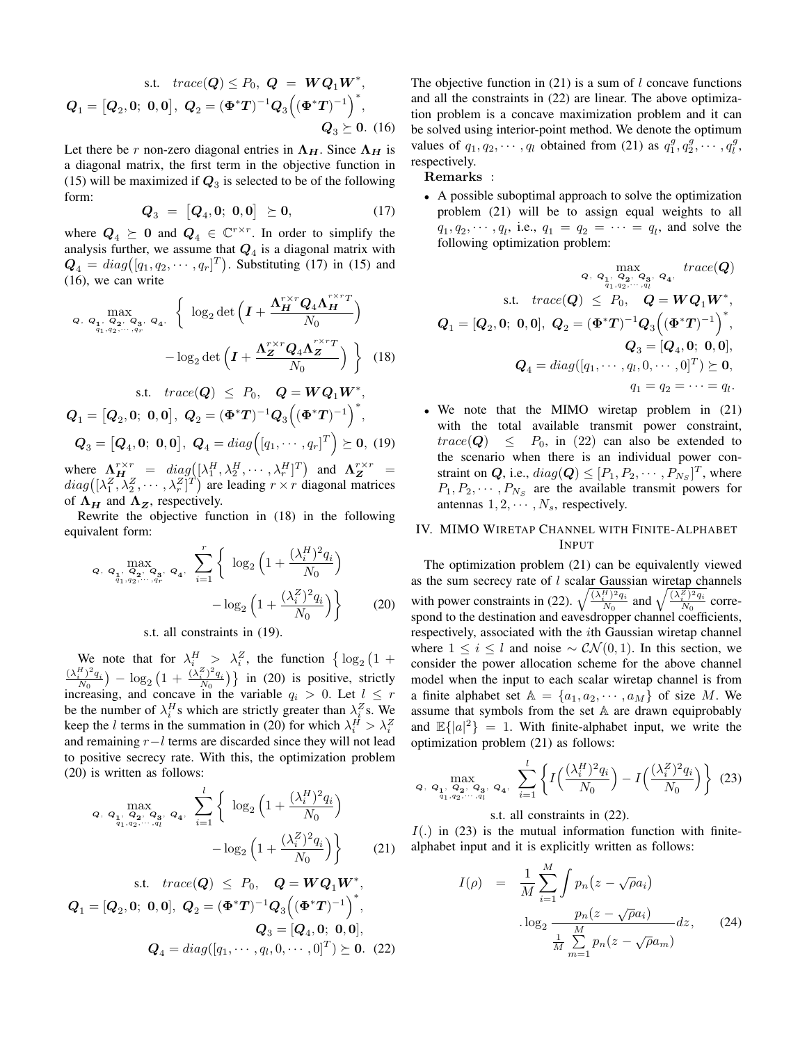s.t. 
$$
trace(Q) \le P_0
$$
,  $Q = WQ_1W^*$ ,  
\n $Q_1 = [Q_2, 0; 0, 0], Q_2 = (\Phi^*T)^{-1}Q_3((\Phi^*T)^{-1})^*$ ,  
\n $Q_3 \ge 0.$  (16)

Let there be r non-zero diagonal entries in  $\Lambda_H$ . Since  $\Lambda_H$  is a diagonal matrix, the first term in the objective function in (15) will be maximized if  $Q_3$  is selected to be of the following form:

$$
Q_3 = [Q_4, 0; 0, 0] \succeq 0, \tag{17}
$$

where  $Q_4 \succeq 0$  and  $Q_4 \in \mathbb{C}^{r \times r}$ . In order to simplify the analysis further, we assume that  $Q_4$  is a diagonal matrix with  $\mathbf{Q}_4 = diag([q_1, q_2, \cdots, q_r]^T)$ . Substituting (17) in (15) and (16), we can write

$$
\alpha, \, \mathbf{Q}_1, \, \mathbf{Q}_2, \, \mathbf{Q}_3, \, \mathbf{Q}_4, \, \left\{ \log_2 \det \left( \mathbf{I} + \frac{\mathbf{\Lambda}_H^{r \times r} \mathbf{Q}_4 \mathbf{\Lambda}_H^{r \times r} T}{N_0} \right) \right. \\ \left. - \log_2 \det \left( \mathbf{I} + \frac{\mathbf{\Lambda}_Z^{r \times r} \mathbf{Q}_4 \mathbf{\Lambda}_Z^{r \times r} T}{N_0} \right) \right\} \tag{18}
$$

s.t. 
$$
trace(Q) \le P_0
$$
,  $Q = WQ_1W^*$ ,  
\n $Q_1 = [Q_2, 0; 0, 0], Q_2 = (\Phi^*T)^{-1}Q_3((\Phi^*T)^{-1})^*$ ,  
\n $Q_3 = [Q_4, 0; 0, 0], Q_4 = diag([q_1, \dots, q_r]^T) \succeq 0$ , (19)

where  $\Lambda_H^{r\times r} = diag([ \lambda_1^H, \lambda_2^H, \cdots, \lambda_r^H]^T)$  and  $\Lambda_Z^{r\times r} =$  $diag([{\lambda}_1^Z, {\lambda}_2^Z, \cdots, {\lambda}_r^Z]^T)$  are leading  $r \times r$  diagonal matrices of  $\Lambda_H$  and  $\Lambda_Z$ , respectively.

Rewrite the objective function in (18) in the following equivalent form:

$$
\mathbf{Q}, \ \mathbf{Q}_1, \ \mathbf{Q}_2, \ \mathbf{Q}_3, \ \mathbf{Q}_4, \ \sum_{i=1}^r \left\{ \log_2 \left( 1 + \frac{(\lambda_i^H)^2 q_i}{N_0} \right) - \log_2 \left( 1 + \frac{(\lambda_i^Z)^2 q_i}{N_0} \right) \right\}
$$
(20)

s.t. all constraints in (19).

We note that for  $\lambda_i^H > \lambda_i^Z$ , the function  $\left\{ \log_2 \left(1 + \right)\right\}$  $\frac{(\lambda_i^H)^2 q_i}{N_0}$  –  $\log_2 \left(1 + \frac{(\lambda_i^Z)^2 q_i}{N_0}\right)$  in (20) is positive, strictly increasing, and concave in the variable  $q_i > 0$ . Let  $l \leq r$ be the number of  $\lambda_i^H$ s which are strictly greater than  $\lambda_i^Z$ s. We keep the *l* terms in the summation in (20) for which  $\lambda_i^H > \lambda_i^Z$ and remaining  $r - l$  terms are discarded since they will not lead to positive secrecy rate. With this, the optimization problem (20) is written as follows:

$$
Q, Q_1, Q_2, Q_3, Q_4, \sum_{i=1}^{l} \left\{ \log_2 \left( 1 + \frac{(\lambda_i^H)^2 q_i}{N_0} \right) - \log_2 \left( 1 + \frac{(\lambda_i^Z)^2 q_i}{N_0} \right) \right\}
$$
(21)

s.t. 
$$
trace(Q) \le P_0
$$
,  $Q = WQ_1W^*$ ,  
\n $Q_1 = [Q_2, 0; 0, 0], Q_2 = (\Phi^*T)^{-1}Q_3((\Phi^*T)^{-1})^*$ ,  
\n $Q_3 = [Q_4, 0; 0, 0],$   
\n $Q_4 = diag([q_1, \dots, q_l, 0, \dots, 0]^T) \succeq 0.$  (22)

The objective function in  $(21)$  is a sum of l concave functions and all the constraints in (22) are linear. The above optimization problem is a concave maximization problem and it can be solved using interior-point method. We denote the optimum values of  $q_1, q_2, \dots, q_l$  obtained from (21) as  $q_1^g, q_2^g, \dots, q_l^g$ , respectively.

Remarks

<sup>∙</sup> A possible suboptimal approach to solve the optimization problem (21) will be to assign equal weights to all  $q_1, q_2, \dots, q_l$ , i.e.,  $q_1 = q_2 = \dots = q_l$ , and solve the following optimization problem:

$$
Q_{1} = [Q_{2}, 0; 0, 0], \quad Q_{2} = (\Phi^{*}T)^{-1}Q_{3}( (\Phi^{*}T)^{-1}),
$$
\n
$$
Q_{4} = diag([q_{1}, \dots, q_{1}, 0, \dots, 0],
$$
\n
$$
Q_{5} = [Q_{4}, 0; 0, 0], \quad Q_{6} = [Q_{4}, 0; 0, 0],
$$
\n
$$
Q_{7} = diag([q_{1}, \dots, q_{l}, 0, \dots, 0]^{T}) \succeq 0,
$$
\n
$$
q_{1} = q_{2} = \dots = q_{l}.
$$

<sup>∙</sup> We note that the MIMO wiretap problem in (21) with the total available transmit power constraint,  $trace(Q) \leq P_0$ , in (22) can also be extended to the scenario when there is an individual power constraint on Q, i.e.,  $diag(\mathbf{Q}) \leq [P_1, P_2, \cdots, P_{N_S}]^T$ , where  $P_1, P_2, \cdots, P_{N_s}$  are the available transmit powers for antennas  $1, 2, \cdots, N_s$ , respectively.

# IV. MIMO WIRETAP CHANNEL WITH FINITE-ALPHABET INPUT

The optimization problem (21) can be equivalently viewed as the sum secrecy rate of  $l$  scalar Gaussian wiretap channels with power constraints in (22).  $\sqrt{\frac{(\lambda_i^H)^2 q_i}{N_0}}$  and  $\sqrt{\frac{(\lambda_i^Z)^2 q_i}{N_0}}$  correspond to the destination and eavesdropper channel coefficients, respectively, associated with the *i*th Gaussian wiretap channel where  $1 \leq i \leq l$  and noise  $\sim \mathcal{CN}(0,1)$ . In this section, we consider the power allocation scheme for the above channel model when the input to each scalar wiretap channel is from a finite alphabet set  $\mathbb{A} = \{a_1, a_2, \cdots, a_M\}$  of size M. We assume that symbols from the set  $A$  are drawn equiprobably and  $\mathbb{E}\{|a|^2\} = 1$ . With finite-alphabet input, we write the optimization problem (21) as follows:

$$
Q, \ Q_{1}, \ Q_{2}, \ Q_{3}, \ Q_{4}, \ \sum_{i=1}^{l} \left\{ I\left(\frac{(\lambda_{i}^{H})^{2} q_{i}}{N_{0}}\right) - I\left(\frac{(\lambda_{i}^{Z})^{2} q_{i}}{N_{0}}\right) \right\} (23)
$$

## s.t. all constraints in (22).

 $I(.)$  in (23) is the mutual information function with finitealphabet input and it is explicitly written as follows:

$$
I(\rho) = \frac{1}{M} \sum_{i=1}^{M} \int p_n (z - \sqrt{\rho} a_i)
$$

$$
\log_2 \frac{p_n (z - \sqrt{\rho} a_i)}{\frac{1}{M} \sum_{m=1}^{M} p_n (z - \sqrt{\rho} a_m)} dz, \qquad (24)
$$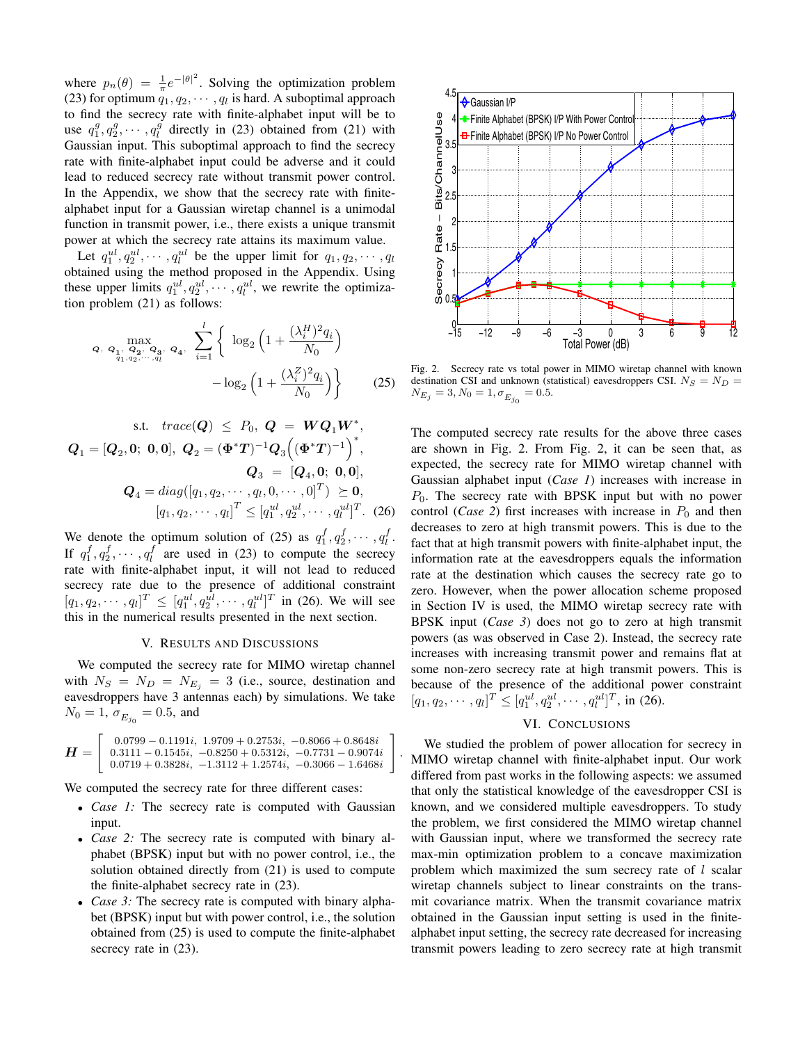where  $p_n(\theta) = \frac{1}{\pi} e^{-|\theta|^2}$ . Solving the optimization problem (23) for optimum  $q_1, q_2, \cdots, q_l$  is hard. A suboptimal approach to find the secrecy rate with finite-alphabet input will be to use  $q_1^g, q_2^g, \cdots, q_l^g$  directly in (23) obtained from (21) with Gaussian input. This suboptimal approach to find the secrecy rate with finite-alphabet input could be adverse and it could lead to reduced secrecy rate without transmit power control. In the Appendix, we show that the secrecy rate with finitealphabet input for a Gaussian wiretap channel is a unimodal function in transmit power, i.e., there exists a unique transmit power at which the secrecy rate attains its maximum value.

Let  $q_1^{ul}, q_2^{ul}, \cdots, q_l^{ul}$  be the upper limit for  $q_1, q_2, \cdots, q_l$ obtained using the method proposed in the Appendix. Using these upper limits  $q_1^{ul}, q_2^{ul}, \cdots, q_l^{ul}$ , we rewrite the optimization problem (21) as follows:

$$
Q, \ Q_{1}, \ Q_{2}, \ Q_{3}, \ Q_{4}, \ \sum_{i=1}^{l} \left\{ \log_{2} \left( 1 + \frac{(\lambda_{i}^{H})^{2} q_{i}}{N_{0}} \right) - \log_{2} \left( 1 + \frac{(\lambda_{i}^{Z})^{2} q_{i}}{N_{0}} \right) \right\}
$$
(25)

s.t. 
$$
trace(Q) \le P_0
$$
,  $Q = WQ_1W^*$ ,  
\n $Q_1 = [Q_2, 0; 0, 0], Q_2 = (\Phi^*T)^{-1}Q_3((\Phi^*T)^{-1})^*$ ,  
\n $Q_3 = [Q_4, 0; 0, 0],$   
\n $Q_4 = diag([q_1, q_2, \dots, q_l, 0, \dots, 0]^T) \ge 0,$   
\n $[q_1, q_2, \dots, q_l]^T \le [q_1^{ul}, q_2^{ul}, \dots, q_l^{ul}]^T.$  (26)

We denote the optimum solution of (25) as  $q_1^f, q_2^f, \cdots, q_l^f$ . If  $q_1^f, q_2^f, \dots, q_l^f$  are used in (23) to compute the secrecy rate with finite-alphabet input, it will not lead to reduced secrecy rate due to the presence of additional constraint  $[q_1, q_2, \cdots, q_l]^T \leq [q_1^{ul}, q_2^{ul}, \cdots, q_l^{ul}]^T$  in (26). We will see this in the numerical results presented in the next section.

#### V. RESULTS AND DISCUSSIONS

We computed the secrecy rate for MIMO wiretap channel with  $N_S = N_D = N_{E_i} = 3$  (i.e., source, destination and eavesdroppers have 3 antennas each) by simulations. We take  $N_0 = 1, \sigma_{E_{j_0}} = 0.5$ , and

$$
\boldsymbol{H} = \left[\begin{array}{c} 0.0799 - 0.1191i,~1.9709 + 0.2753i,~-0.8066 + 0.8648i\\ 0.3111 - 0.1545i,~ -0.8250 + 0.5312i,~-0.7731 - 0.9074i\\ 0.0719 + 0.3828i,~ -1.3112 + 1.2574i,~ -0.3066 - 1.6468i \end{array}\right]
$$

.

We computed the secrecy rate for three different cases:

- <sup>∙</sup> *Case 1:* The secrecy rate is computed with Gaussian input.
- <sup>∙</sup> *Case 2:* The secrecy rate is computed with binary alphabet (BPSK) input but with no power control, i.e., the solution obtained directly from (21) is used to compute the finite-alphabet secrecy rate in (23).
- <sup>∙</sup> *Case 3:* The secrecy rate is computed with binary alphabet (BPSK) input but with power control, i.e., the solution obtained from (25) is used to compute the finite-alphabet secrecy rate in (23).



Fig. 2. Secrecy rate vs total power in MIMO wiretap channel with known destination CSI and unknown (statistical) eavesdroppers CSI.  $N_S = N_D$  =  $N_{E_j} = 3, N_0 = 1, \sigma_{E_{j_0}} = 0.5.$ 

The computed secrecy rate results for the above three cases are shown in Fig. 2. From Fig. 2, it can be seen that, as expected, the secrecy rate for MIMO wiretap channel with Gaussian alphabet input (*Case 1*) increases with increase in  $P_0$ . The secrecy rate with BPSK input but with no power control (*Case 2*) first increases with increase in  $P_0$  and then decreases to zero at high transmit powers. This is due to the fact that at high transmit powers with finite-alphabet input, the information rate at the eavesdroppers equals the information rate at the destination which causes the secrecy rate go to zero. However, when the power allocation scheme proposed in Section IV is used, the MIMO wiretap secrecy rate with BPSK input (*Case 3*) does not go to zero at high transmit powers (as was observed in Case 2). Instead, the secrecy rate increases with increasing transmit power and remains flat at some non-zero secrecy rate at high transmit powers. This is because of the presence of the additional power constraint  $[q_1, q_2, \cdots, q_l]^T \leq [q_1^{ul}, q_2^{ul}, \cdots, q_l^{ul}]^T$ , in (26).

## VI. CONCLUSIONS

We studied the problem of power allocation for secrecy in MIMO wiretap channel with finite-alphabet input. Our work differed from past works in the following aspects: we assumed that only the statistical knowledge of the eavesdropper CSI is known, and we considered multiple eavesdroppers. To study the problem, we first considered the MIMO wiretap channel with Gaussian input, where we transformed the secrecy rate max-min optimization problem to a concave maximization problem which maximized the sum secrecy rate of  $l$  scalar wiretap channels subject to linear constraints on the transmit covariance matrix. When the transmit covariance matrix obtained in the Gaussian input setting is used in the finitealphabet input setting, the secrecy rate decreased for increasing transmit powers leading to zero secrecy rate at high transmit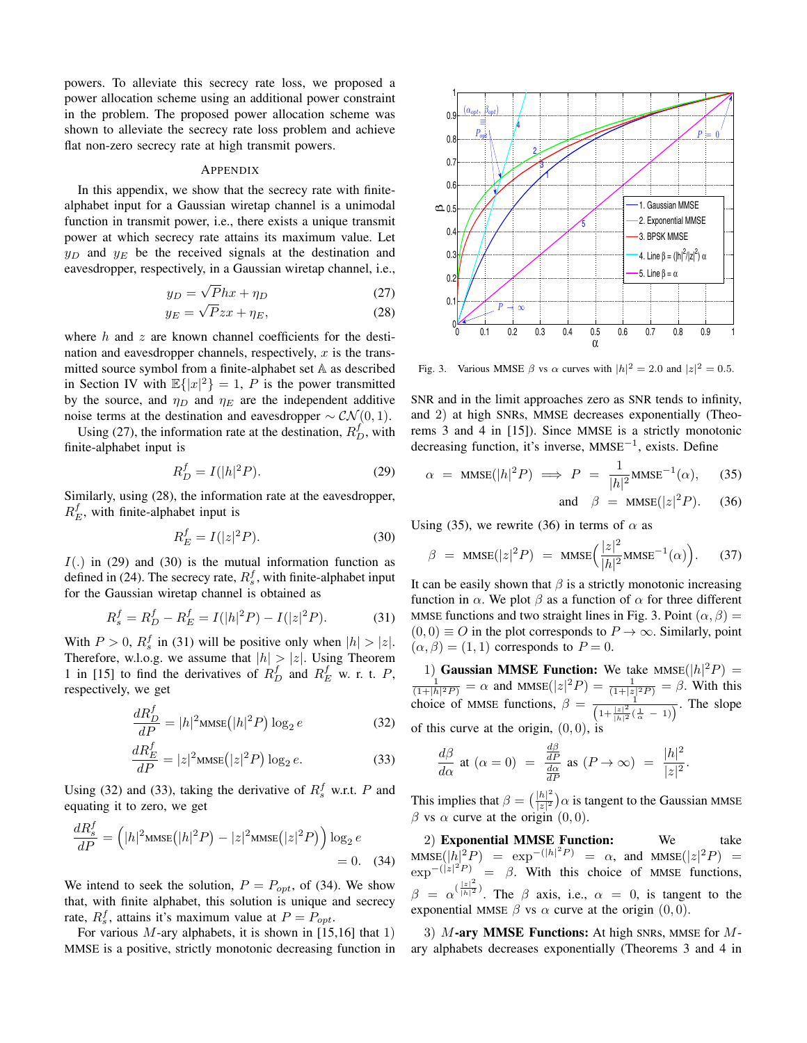powers. To alleviate this secrecy rate loss, we proposed a power allocation scheme using an additional power constraint in the problem. The proposed power allocation scheme was shown to alleviate the secrecy rate loss problem and achieve flat non-zero secrecy rate at high transmit powers.

### APPENDIX

In this appendix, we show that the secrecy rate with finitealphabet input for a Gaussian wiretap channel is a unimodal function in transmit power, i.e., there exists a unique transmit power at which secrecy rate attains its maximum value. Let  $y_D$  and  $y_E$  be the received signals at the destination and eavesdropper, respectively, in a Gaussian wiretap channel, i.e.,

$$
y_D = \sqrt{P}hx + \eta_D \tag{27}
$$

$$
y_E = \sqrt{P}zx + \eta_E,\tag{28}
$$

where  $h$  and  $z$  are known channel coefficients for the destination and eavesdropper channels, respectively,  $x$  is the transmitted source symbol from a finite-alphabet set A as described in Section IV with  $\mathbb{E}\{|x|^2\} = 1$ , P is the power transmitted by the source, and  $\eta_D$  and  $\eta_E$  are the independent additive noise terms at the destination and eavesdropper  $\sim \mathcal{CN}(0, 1)$ .

Using (27), the information rate at the destination,  $R_D^f$ , with finite-alphabet input is

$$
R_D^f = I(|h|^2 P). \tag{29}
$$

Similarly, using (28), the information rate at the eavesdropper,  $R_E^f$ , with finite-alphabet input is

$$
R_E^f = I(|z|^2 P). \tag{30}
$$

 $I(.)$  in (29) and (30) is the mutual information function as defined in (24). The secrecy rate,  $R_s^f$ , with finite-alphabet input for the Gaussian wiretap channel is obtained as

$$
R_s^f = R_D^f - R_E^f = I(|h|^2 P) - I(|z|^2 P). \tag{31}
$$

With  $P > 0$ ,  $R_s^f$  in (31) will be positive only when  $|h| > |z|$ . Therefore, w.l.o.g. we assume that  $|h| > |z|$ . Using Theorem 1 in [15] to find the derivatives of  $R_D^f$  and  $R_E^f$  w. r. t. P, respectively, we get

$$
\frac{dR_D^f}{dP} = |h|^2 \text{MMSE}\left(|h|^2 P\right) \log_2 e \tag{32}
$$

$$
\frac{dR_E^f}{dP} = |z|^2 \text{MMSE}\left(|z|^2 P\right) \log_2 e. \tag{33}
$$

Using (32) and (33), taking the derivative of  $R_s^f$  w.r.t. P and equating it to zero, we get

$$
\frac{dR_s^f}{dP} = \left( |h|^2 \text{MMSE}\left(|h|^2 P\right) - |z|^2 \text{MMSE}\left(|z|^2 P\right) \right) \log_2 e
$$
  
= 0. (34)

We intend to seek the solution,  $P = P_{opt}$ , of (34). We show that, with finite alphabet, this solution is unique and secrecy rate,  $R_s^f$ , attains it's maximum value at  $P = P_{opt}$ .

For various  $M$ -ary alphabets, it is shown in [15,16] that 1) MMSE is a positive, strictly monotonic decreasing function in



Fig. 3. Various MMSE  $\beta$  vs  $\alpha$  curves with  $|h|^2 = 2.0$  and  $|z|^2 = 0.5$ .

SNR and in the limit approaches zero as SNR tends to infinity, and 2) at high SNRs, MMSE decreases exponentially (Theorems 3 and 4 in [15]). Since MMSE is a strictly monotonic decreasing function, it's inverse, MMSE−<sup>1</sup>, exists. Define

$$
\alpha = \text{MMSE}(|h|^2 P) \implies P = \frac{1}{|h|^2} \text{MMSE}^{-1}(\alpha), \quad (35)
$$

and 
$$
\beta = \text{MMSE}(|z|^2 P)
$$
. (36)

Using (35), we rewrite (36) in terms of  $\alpha$  as

$$
\beta = \text{MMSE}(|z|^2 P) = \text{MMSE}\Big(\frac{|z|^2}{|h|^2} \text{MMSE}^{-1}(\alpha)\Big). \tag{37}
$$

It can be easily shown that  $\beta$  is a strictly monotonic increasing function in  $\alpha$ . We plot  $\beta$  as a function of  $\alpha$  for three different MMSE functions and two straight lines in Fig. 3. Point  $(\alpha, \beta)$  =  $(0, 0) \equiv O$  in the plot corresponds to  $P \to \infty$ . Similarly, point  $(\alpha, \beta) = (1, 1)$  corresponds to  $P = 0$ .

1) **Gaussian MMSE Function:** We take MMSE( $|h|^2 P$ ) =  $\frac{1}{(1+|h|^2 P)} = \alpha$  and MMSE( $|z|^2 P$ ) =  $\frac{1}{(1+|z|^2 P)} = \beta$ . With this choice of MMSE functions,  $\beta = \frac{1}{\left(1 + \frac{|z|^2}{|h|^2}(\frac{1}{\alpha} - 1)\right)}$ . The slope of this curve at the origin,  $(0, 0)$ , is

$$
\frac{d\beta}{d\alpha} \text{ at } (\alpha = 0) = \frac{\frac{d\beta}{dP}}{\frac{d\alpha}{dP}} \text{ as } (P \to \infty) = \frac{|h|^2}{|z|^2}.
$$

This implies that  $\beta = \left(\frac{|h|^2}{|x|^2}\right)$  $\frac{|h|^{-}}{|z|^2}$ ) $\alpha$  is tangent to the Gaussian MMSE  $\beta$  vs  $\alpha$  curve at the origin  $(0, 0)$ .

2) **Exponential MMSE Function:** We take  $\text{MMSE}(|h|^2 P) = \exp^{-(|h|^2 P)} = \alpha$ , and  $\text{MMSE}(|z|^2 P) =$  $\exp^{-(|z|^2 P)}$  =  $\beta$ . With this choice of MMSE functions,  $\beta = \alpha^{(\frac{|z|^2}{|h|^2})}$ . The  $\beta$  axis, i.e.,  $\alpha = 0$ , is tangent to the exponential MMSE  $\beta$  vs  $\alpha$  curve at the origin  $(0, 0)$ .

3) M-ary MMSE Functions: At high SNRs, MMSE for Mary alphabets decreases exponentially (Theorems 3 and 4 in